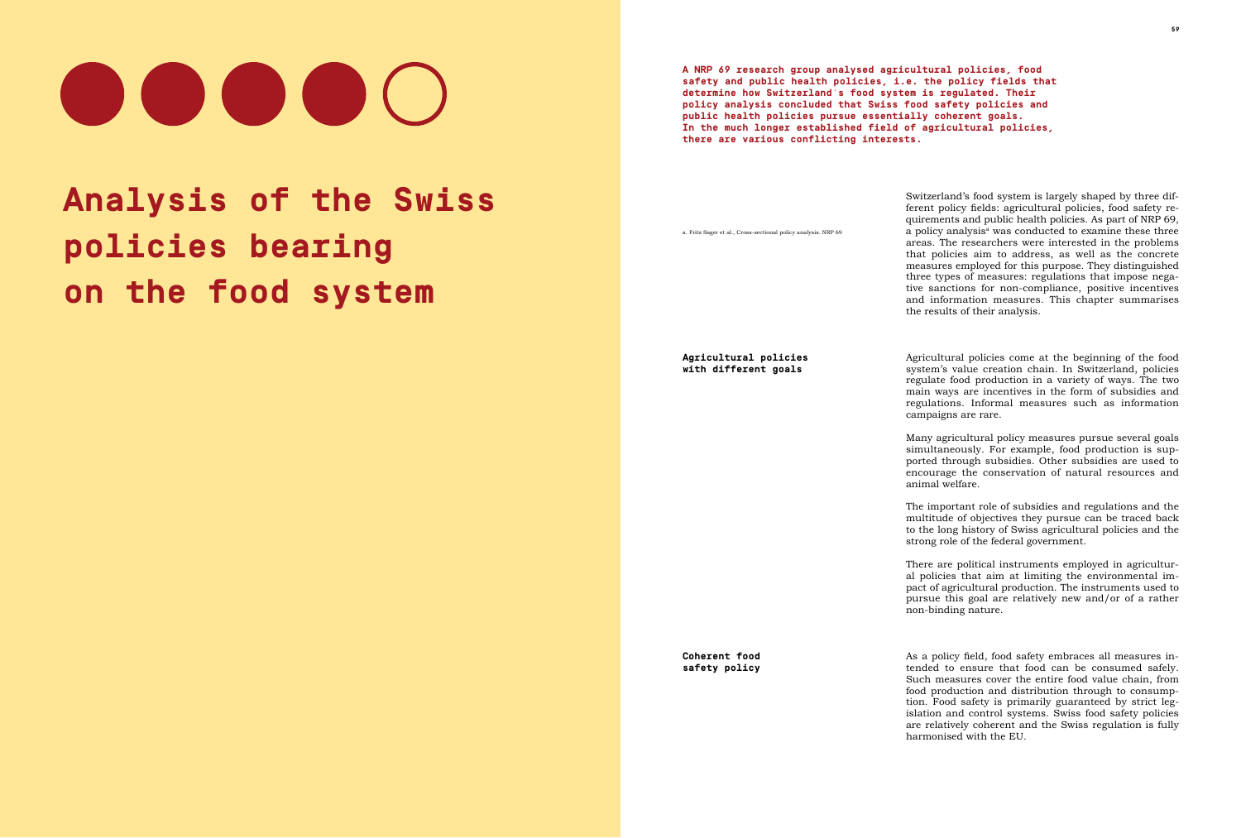# **Analysis of the Swiss policies bearing on the food system**

a. Fritz Sager et al., Cross-sectional policy analysis. NRP 69

# 

**A NRP 69 research group analysed agricultural policies, food safety and public health policies, i.e. the policy fields that determine how Switzerland's food system is regulated. Their policy analysis concluded that Swiss food safety policies and public health policies pursue essentially coherent goals. In the much longer established field of agricultural policies, there are various conflicting interests.** 

> Switzerland's food system is largely shaped by three different policy fields: agricultural policies, food safety requirements and public health policies. As part of NRP 69, a policy analysis<sup>a</sup> was conducted to examine these three areas. The researchers were interested in the problems that policies aim to address, as well as the concrete measures employed for this purpose. They distinguished three types of measures: regulations that impose negative sanctions for non-compliance, positive incentives and information measures. This chapter summarises the results of their analysis.

> As a policy field, food safety embraces all measures intended to ensure that food can be consumed safely. Such measures cover the entire food value chain, from food production and distribution through to consumption. Food safety is primarily guaranteed by strict legislation and control systems. Swiss food safety policies are relatively coherent and the Swiss regulation is fully harmonised with the EU.

> Agricultural policies come at the beginning of the food system's value creation chain. In Switzerland, policies regulate food production in a variety of ways. The two main ways are incentives in the form of subsidies and regulations. Informal measures such as information campaigns are rare.

> Many agricultural policy measures pursue several goals simultaneously. For example, food production is supported through subsidies. Other subsidies are used to encourage the conservation of natural resources and

animal welfare.

The important role of subsidies and regulations and the multitude of objectives they pursue can be traced back to the long history of Swiss agricultural policies and the strong role of the federal government.

There are political instruments employed in agricultural policies that aim at limiting the environmental impact of agricultural production. The instruments used to pursue this goal are relatively new and/or of a rather non-binding nature.

**Agricultural policies with different goals**

**Coherent food safety policy**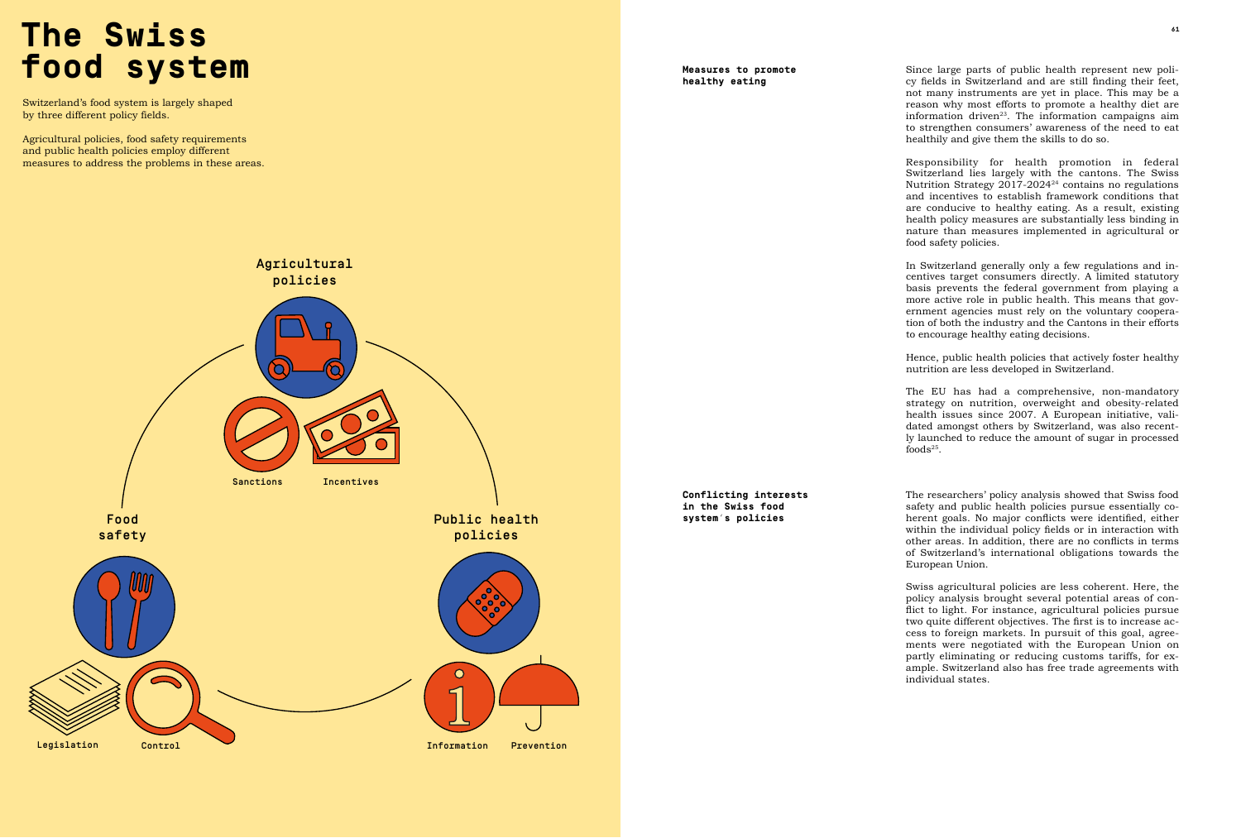### $\mathbf{A}$  **A The Swiss food system**

Switzerland's food system is largely shaped by three different policy fields.

Agricultural policies, food safety requirements and public health policies employ different measures to address the problems in these areas.



Since large parts of public health represent new policy fields in Switzerland and are still finding their feet, not many instruments are yet in place. This may be a reason why most efforts to promote a healthy diet are information driven $23$ . The information campaigns aim to strengthen consumers' awareness of the need to eat healthily and give them the skills to do so.

In Switzerland generally only a few regulations and incentives target consumers directly. A limited statutory basis prevents the federal government from playing a more active role in public health. This means that government agencies must rely on the voluntary cooperation of both the industry and the Cantons in their efforts to encourage healthy eating decisions.

Hence, public health policies that actively foster healthy nutrition are less developed in Switzerland.

foods $25$ .

Responsibility for health promotion in federal Switzerland lies largely with the cantons. The Swiss Nutrition Strategy  $2017-2024^{24}$  contains no regulations and incentives to establish framework conditions that are conducive to healthy eating. As a result, existing health policy measures are substantially less binding in nature than measures implemented in agricultural or food safety policies.

The researchers' policy analysis showed that Swiss food safety and public health policies pursue essentially coherent goals. No major conflicts were identified, either within the individual policy fields or in interaction with other areas. In addition, there are no conflicts in terms of Switzerland's international obligations towards the European Union.

The EU has had a comprehensive, non-mandatory strategy on nutrition, overweight and obesity-related health issues since 2007. A European initiative, validated amongst others by Switzerland, was also recently launched to reduce the amount of sugar in processed

Swiss agricultural policies are less coherent. Here, the policy analysis brought several potential areas of conflict to light. For instance, agricultural policies pursue two quite different objectives. The first is to increase access to foreign markets. In pursuit of this goal, agreements were negotiated with the European Union on partly eliminating or reducing customs tariffs, for example. Switzerland also has free trade agreements with

individual states.

**Measures to promote healthy eating** 

**Conflicting interests in the Swiss food system's policies**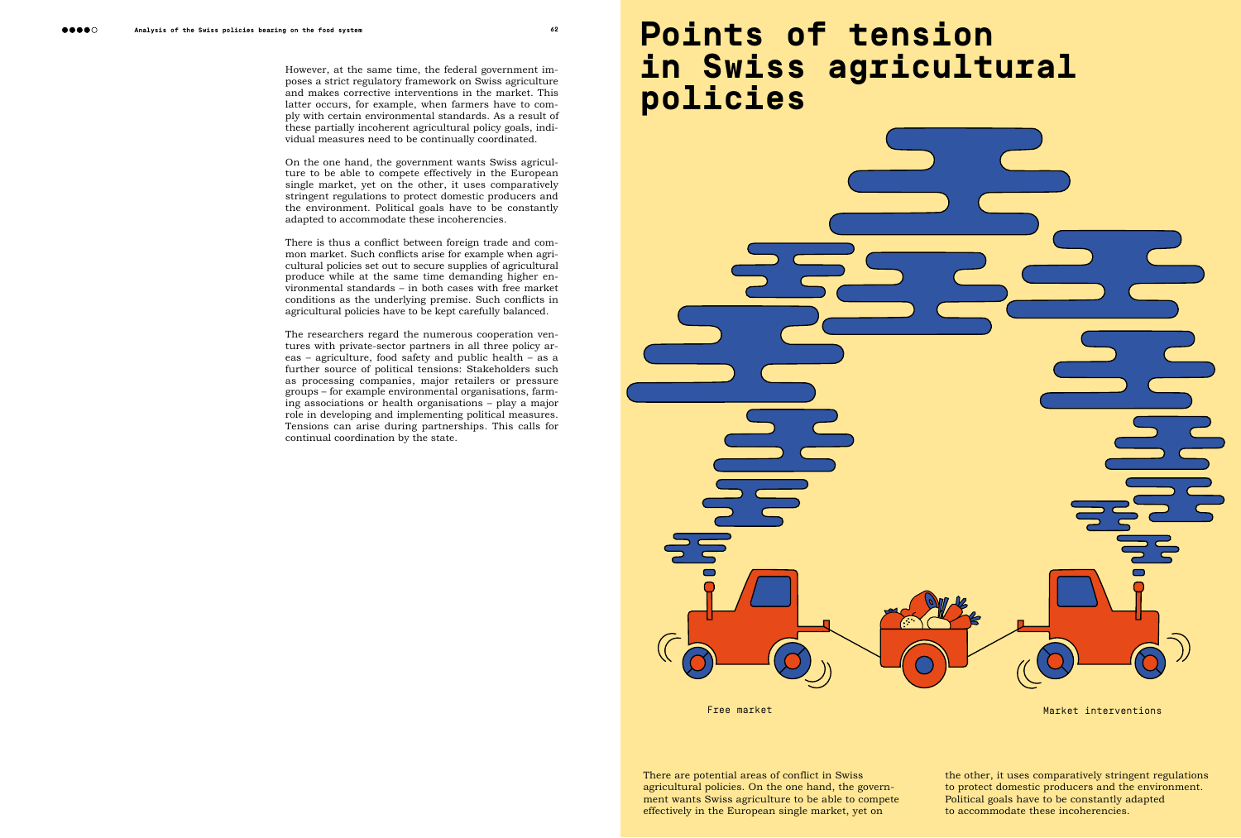However, at the same time, the federal government imposes a strict regulatory framework on Swiss agriculture and makes corrective interventions in the market. This latter occurs, for example, when farmers have to comply with certain environmental standards. As a result of these partially incoherent agricultural policy goals, individual measures need to be continually coordinated.

On the one hand, the government wants Swiss agriculture to be able to compete effectively in the European single market, yet on the other, it uses comparatively stringent regulations to protect domestic producers and the environment. Political goals have to be constantly adapted to accommodate these incoherencies.

There is thus a conflict between foreign trade and common market. Such conflicts arise for example when agricultural policies set out to secure supplies of agricultural produce while at the same time demanding higher environmental standards – in both cases with free market conditions as the underlying premise. Such conflicts in agricultural policies have to be kept carefully balanced.

## **Analysis of the Swiss policies bearing on the food system 62 63 Points of tension in Swiss agricultural policies**



The researchers regard the numerous cooperation ventures with private-sector partners in all three policy areas – agriculture, food safety and public health – as a further source of political tensions: Stakeholders such as processing companies, major retailers or pressure groups – for example environmental organisations, farming associations or health organisations – play a major role in developing and implementing political measures. Tensions can arise during partnerships. This calls for continual coordination by the state.

> There are potential areas of conflict in Swiss agricultural policies. On the one hand, the government wants Swiss agriculture to be able to compete effectively in the European single market, yet on



Free market Market Market Market interventions

the other, it uses comparatively stringent regulations to protect domestic producers and the environment. Political goals have to be constantly adapted to accommodate these incoherencies.